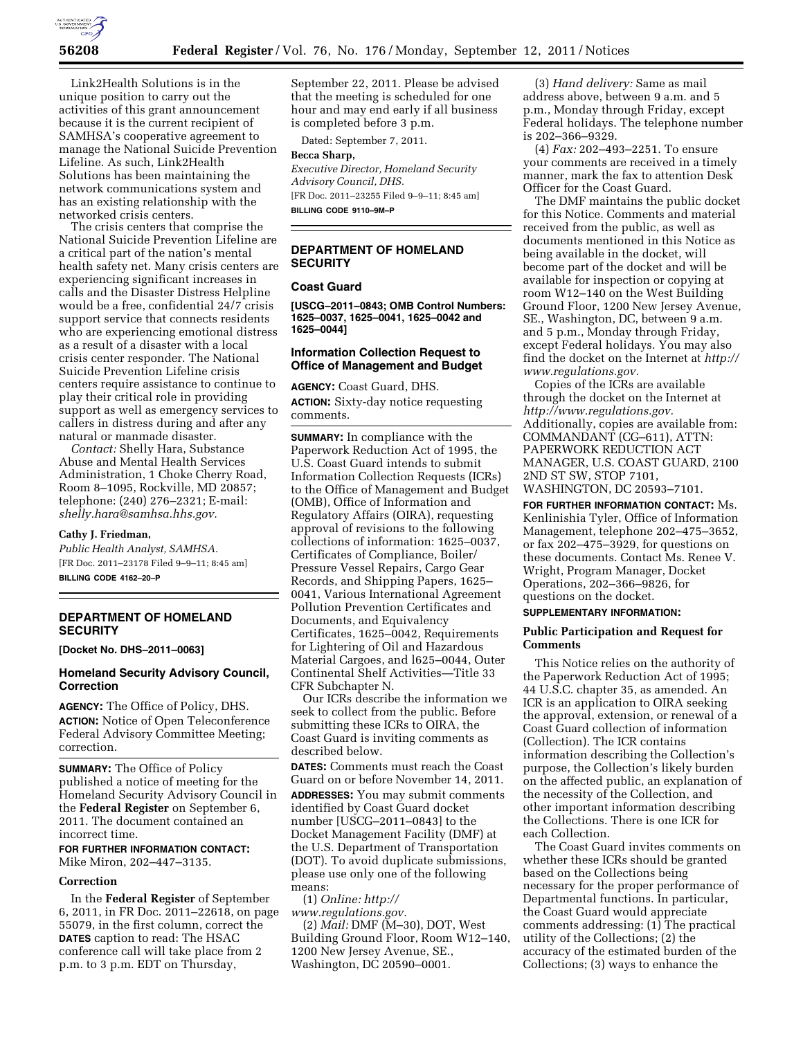

Link2Health Solutions is in the unique position to carry out the activities of this grant announcement because it is the current recipient of SAMHSA's cooperative agreement to manage the National Suicide Prevention Lifeline. As such, Link2Health Solutions has been maintaining the network communications system and has an existing relationship with the networked crisis centers.

The crisis centers that comprise the National Suicide Prevention Lifeline are a critical part of the nation's mental health safety net. Many crisis centers are experiencing significant increases in calls and the Disaster Distress Helpline would be a free, confidential 24/7 crisis support service that connects residents who are experiencing emotional distress as a result of a disaster with a local crisis center responder. The National Suicide Prevention Lifeline crisis centers require assistance to continue to play their critical role in providing support as well as emergency services to callers in distress during and after any natural or manmade disaster.

*Contact:* Shelly Hara, Substance Abuse and Mental Health Services Administration, 1 Choke Cherry Road, Room 8–1095, Rockville, MD 20857; telephone: (240) 276–2321; E-mail: *[shelly.hara@samhsa.hhs.gov.](mailto:shelly.hara@samhsa.hhs.gov)* 

#### **Cathy J. Friedman,**

*Public Health Analyst, SAMHSA.*  [FR Doc. 2011–23178 Filed 9–9–11; 8:45 am] **BILLING CODE 4162–20–P** 

# **DEPARTMENT OF HOMELAND SECURITY**

**[Docket No. DHS–2011–0063]** 

# **Homeland Security Advisory Council, Correction**

**AGENCY:** The Office of Policy, DHS. **ACTION:** Notice of Open Teleconference Federal Advisory Committee Meeting; correction.

**SUMMARY:** The Office of Policy published a notice of meeting for the Homeland Security Advisory Council in the **Federal Register** on September 6, 2011. The document contained an incorrect time.

**FOR FURTHER INFORMATION CONTACT:**  Mike Miron, 202–447–3135.

#### **Correction**

In the **Federal Register** of September 6, 2011, in FR Doc. 2011–22618, on page 55079, in the first column, correct the **DATES** caption to read: The HSAC conference call will take place from 2 p.m. to 3 p.m. EDT on Thursday,

September 22, 2011. Please be advised that the meeting is scheduled for one hour and may end early if all business is completed before 3 p.m.

Dated: September 7, 2011.

#### **Becca Sharp,**

*Executive Director, Homeland Security Advisory Council, DHS.*  [FR Doc. 2011–23255 Filed 9–9–11; 8:45 am]

**BILLING CODE 9110–9M–P** 

## **DEPARTMENT OF HOMELAND SECURITY**

# **Coast Guard**

**[USCG–2011–0843; OMB Control Numbers: 1625–0037, 1625–0041, 1625–0042 and 1625–0044]** 

# **Information Collection Request to Office of Management and Budget**

**AGENCY:** Coast Guard, DHS.

**ACTION:** Sixty-day notice requesting comments.

**SUMMARY:** In compliance with the Paperwork Reduction Act of 1995, the U.S. Coast Guard intends to submit Information Collection Requests (ICRs) to the Office of Management and Budget (OMB), Office of Information and Regulatory Affairs (OIRA), requesting approval of revisions to the following collections of information: 1625–0037, Certificates of Compliance, Boiler/ Pressure Vessel Repairs, Cargo Gear Records, and Shipping Papers, 1625– 0041, Various International Agreement Pollution Prevention Certificates and Documents, and Equivalency Certificates, 1625–0042, Requirements for Lightering of Oil and Hazardous Material Cargoes, and l625–0044, Outer Continental Shelf Activities—Title 33 CFR Subchapter N.

Our ICRs describe the information we seek to collect from the public. Before submitting these ICRs to OIRA, the Coast Guard is inviting comments as described below.

**DATES:** Comments must reach the Coast Guard on or before November 14, 2011.

**ADDRESSES:** You may submit comments identified by Coast Guard docket number [USCG–2011–0843] to the Docket Management Facility (DMF) at the U.S. Department of Transportation (DOT). To avoid duplicate submissions, please use only one of the following means:

(1) *Online: [http://](http://www.regulations.gov) [www.regulations.gov.](http://www.regulations.gov)* 

(2) *Mail:* DMF (M–30), DOT, West Building Ground Floor, Room W12–140, 1200 New Jersey Avenue, SE., Washington, DC 20590–0001.

(3) *Hand delivery:* Same as mail address above, between 9 a.m. and 5 p.m., Monday through Friday, except Federal holidays. The telephone number is 202–366–9329.

(4) *Fax:* 202–493–2251. To ensure your comments are received in a timely manner, mark the fax to attention Desk Officer for the Coast Guard.

The DMF maintains the public docket for this Notice. Comments and material received from the public, as well as documents mentioned in this Notice as being available in the docket, will become part of the docket and will be available for inspection or copying at room W12–140 on the West Building Ground Floor, 1200 New Jersey Avenue, SE., Washington, DC, between 9 a.m. and 5 p.m., Monday through Friday, except Federal holidays. You may also find the docket on the Internet at *[http://](http://www.regulations.gov)  [www.regulations.gov.](http://www.regulations.gov)* 

Copies of the ICRs are available through the docket on the Internet at *[http://www.regulations.gov.](http://www.regulations.gov)*  Additionally, copies are available from: COMMANDANT (CG–611), ATTN: PAPERWORK REDUCTION ACT MANAGER, U.S. COAST GUARD, 2100 2ND ST SW, STOP 7101, WASHINGTON, DC 20593–7101.

**FOR FURTHER INFORMATION CONTACT:** Ms. Kenlinishia Tyler, Office of Information Management, telephone 202–475–3652, or fax 202–475–3929, for questions on these documents. Contact Ms. Renee V. Wright, Program Manager, Docket Operations, 202–366–9826, for questions on the docket.

# **SUPPLEMENTARY INFORMATION:**

### **Public Participation and Request for Comments**

This Notice relies on the authority of the Paperwork Reduction Act of 1995; 44 U.S.C. chapter 35, as amended. An ICR is an application to OIRA seeking the approval, extension, or renewal of a Coast Guard collection of information (Collection). The ICR contains information describing the Collection's purpose, the Collection's likely burden on the affected public, an explanation of the necessity of the Collection, and other important information describing the Collections. There is one ICR for each Collection.

The Coast Guard invites comments on whether these ICRs should be granted based on the Collections being necessary for the proper performance of Departmental functions. In particular, the Coast Guard would appreciate comments addressing: (1) The practical utility of the Collections; (2) the accuracy of the estimated burden of the Collections; (3) ways to enhance the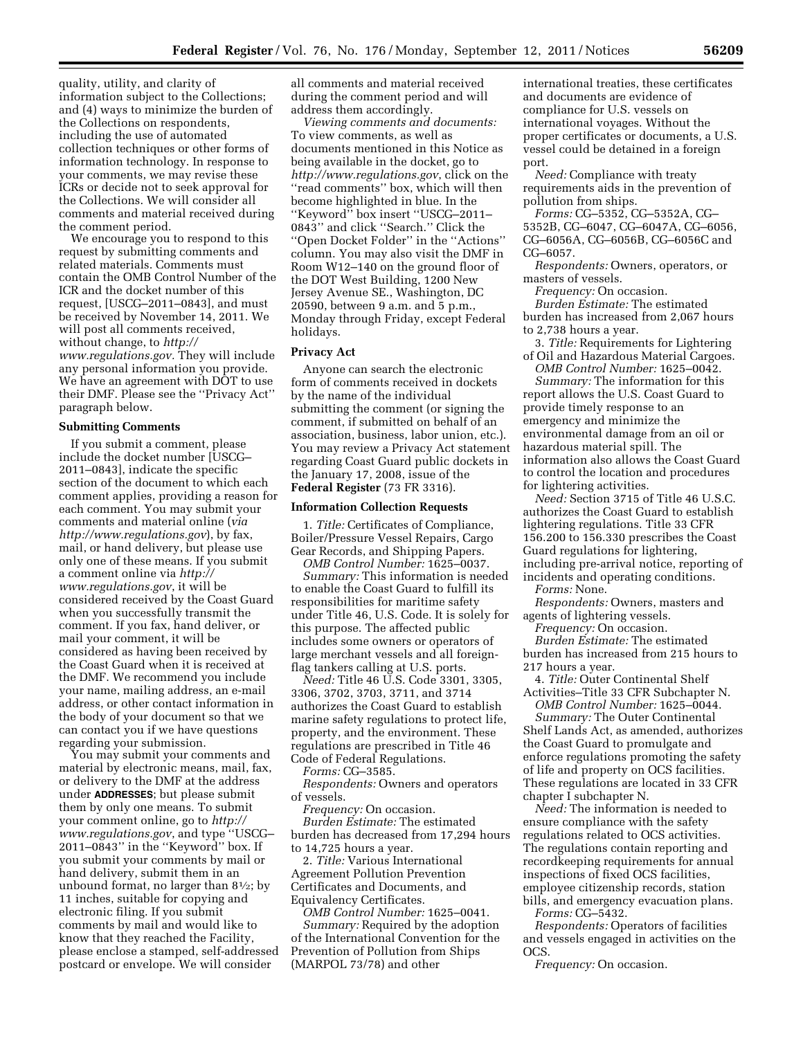quality, utility, and clarity of information subject to the Collections; and (4) ways to minimize the burden of the Collections on respondents, including the use of automated collection techniques or other forms of information technology. In response to your comments, we may revise these ICRs or decide not to seek approval for the Collections. We will consider all comments and material received during the comment period.

We encourage you to respond to this request by submitting comments and related materials. Comments must contain the OMB Control Number of the ICR and the docket number of this request, [USCG–2011–0843], and must be received by November 14, 2011. We will post all comments received, without change, to *[http://](http://www.regulations.gov)  [www.regulations.gov.](http://www.regulations.gov)* They will include any personal information you provide. We have an agreement with DOT to use their DMF. Please see the ''Privacy Act'' paragraph below.

#### **Submitting Comments**

If you submit a comment, please include the docket number [USCG– 2011–0843], indicate the specific section of the document to which each comment applies, providing a reason for each comment. You may submit your comments and material online (*via <http://www.regulations.gov>*), by fax, mail, or hand delivery, but please use only one of these means. If you submit a comment online via *[http://](http://www.regulations.gov) [www.regulations.gov](http://www.regulations.gov)*, it will be considered received by the Coast Guard when you successfully transmit the comment. If you fax, hand deliver, or mail your comment, it will be considered as having been received by the Coast Guard when it is received at the DMF. We recommend you include your name, mailing address, an e-mail address, or other contact information in the body of your document so that we can contact you if we have questions regarding your submission.

You may submit your comments and material by electronic means, mail, fax, or delivery to the DMF at the address under **ADDRESSES**; but please submit them by only one means. To submit your comment online, go to *[http://](http://www.regulations.gov)  [www.regulations.gov](http://www.regulations.gov)*, and type ''USCG– 2011–0843'' in the ''Keyword'' box. If you submit your comments by mail or hand delivery, submit them in an unbound format, no larger than  $8\frac{1}{2}$ ; by 11 inches, suitable for copying and electronic filing. If you submit comments by mail and would like to know that they reached the Facility, please enclose a stamped, self-addressed postcard or envelope. We will consider

all comments and material received during the comment period and will address them accordingly.

*Viewing comments and documents:*  To view comments, as well as documents mentioned in this Notice as being available in the docket, go to *<http://www.regulations.gov>*, click on the ''read comments'' box, which will then become highlighted in blue. In the ''Keyword'' box insert ''USCG–2011– 0843'' and click ''Search.'' Click the ''Open Docket Folder'' in the ''Actions'' column. You may also visit the DMF in Room W12–140 on the ground floor of the DOT West Building, 1200 New Jersey Avenue SE., Washington, DC 20590, between 9 a.m. and 5 p.m., Monday through Friday, except Federal holidays.

### **Privacy Act**

Anyone can search the electronic form of comments received in dockets by the name of the individual submitting the comment (or signing the comment, if submitted on behalf of an association, business, labor union, etc.). You may review a Privacy Act statement regarding Coast Guard public dockets in the January 17, 2008, issue of the **Federal Register** (73 FR 3316).

#### **Information Collection Requests**

1. *Title:* Certificates of Compliance, Boiler/Pressure Vessel Repairs, Cargo Gear Records, and Shipping Papers.

*OMB Control Number:* 1625–0037.

*Summary:* This information is needed to enable the Coast Guard to fulfill its responsibilities for maritime safety under Title 46, U.S. Code. It is solely for this purpose. The affected public includes some owners or operators of large merchant vessels and all foreignflag tankers calling at U.S. ports.

*Need:* Title 46 U.S. Code 3301, 3305, 3306, 3702, 3703, 3711, and 3714 authorizes the Coast Guard to establish marine safety regulations to protect life, property, and the environment. These regulations are prescribed in Title 46 Code of Federal Regulations.

*Forms:* CG–3585.

*Respondents:* Owners and operators of vessels.

*Frequency:* On occasion. *Burden Estimate:* The estimated

burden has decreased from 17,294 hours to 14,725 hours a year.

2. *Title:* Various International Agreement Pollution Prevention Certificates and Documents, and Equivalency Certificates.

*OMB Control Number:* 1625–0041. *Summary:* Required by the adoption of the International Convention for the Prevention of Pollution from Ships (MARPOL 73/78) and other

international treaties, these certificates and documents are evidence of compliance for U.S. vessels on international voyages. Without the proper certificates or documents, a U.S. vessel could be detained in a foreign port.

*Need:* Compliance with treaty requirements aids in the prevention of pollution from ships.

*Forms:* CG–5352, CG–5352A, CG– 5352B, CG–6047, CG–6047A, CG–6056, CG–6056A, CG–6056B, CG–6056C and CG–6057.

*Respondents:* Owners, operators, or masters of vessels.

*Frequency:* On occasion.

*Burden Estimate:* The estimated burden has increased from 2,067 hours to 2,738 hours a year.

3. *Title:* Requirements for Lightering of Oil and Hazardous Material Cargoes.

*OMB Control Number:* 1625–0042. *Summary:* The information for this

report allows the U.S. Coast Guard to provide timely response to an emergency and minimize the environmental damage from an oil or hazardous material spill. The information also allows the Coast Guard to control the location and procedures for lightering activities.

*Need:* Section 3715 of Title 46 U.S.C. authorizes the Coast Guard to establish lightering regulations. Title 33 CFR 156.200 to 156.330 prescribes the Coast Guard regulations for lightering, including pre-arrival notice, reporting of incidents and operating conditions.

*Forms:* None.

*Respondents:* Owners, masters and agents of lightering vessels.

*Frequency:* On occasion.

*Burden Estimate:* The estimated burden has increased from 215 hours to 217 hours a year.

4. *Title:* Outer Continental Shelf Activities–Title 33 CFR Subchapter N. *OMB Control Number:* 1625–0044.

*Summary:* The Outer Continental Shelf Lands Act, as amended, authorizes the Coast Guard to promulgate and enforce regulations promoting the safety of life and property on OCS facilities. These regulations are located in 33 CFR chapter I subchapter N.

*Need:* The information is needed to ensure compliance with the safety regulations related to OCS activities. The regulations contain reporting and recordkeeping requirements for annual inspections of fixed OCS facilities, employee citizenship records, station bills, and emergency evacuation plans.

*Forms:* CG–5432.

*Respondents:* Operators of facilities and vessels engaged in activities on the OCS.

*Frequency:* On occasion.